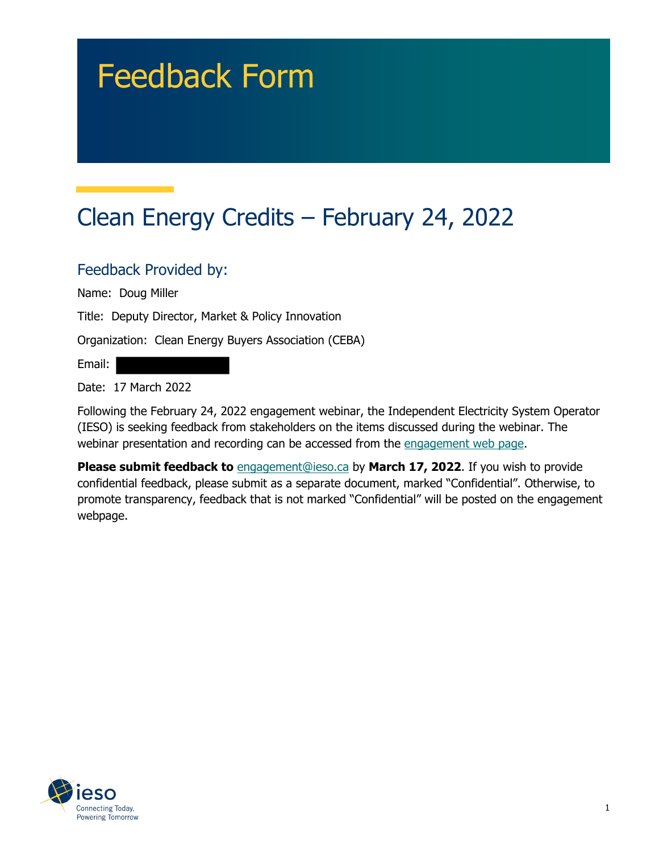# Feedback Form

# Clean Energy Credits – February 24, 2022

#### Feedback Provided by:

Name: Doug Miller

Title: Deputy Director, Market & Policy Innovation

Organization: Clean Energy Buyers Association (CEBA)

Email:

Date: 17 March 2022

Following the February 24, 2022 engagement webinar, the Independent Electricity System Operator (IESO) is seeking feedback from stakeholders on the items discussed during the webinar. The webinar presentation and recording can be accessed from the engagement web page.

**Please submit feedback to** engagement@ieso.ca by March 17, 2022. If you wish to provide confidential feedback, please submit as a separate document, marked "Confidential". Otherwise, to promote transparency, feedback that is not marked "Confidential" will be posted on the engagement webpage.

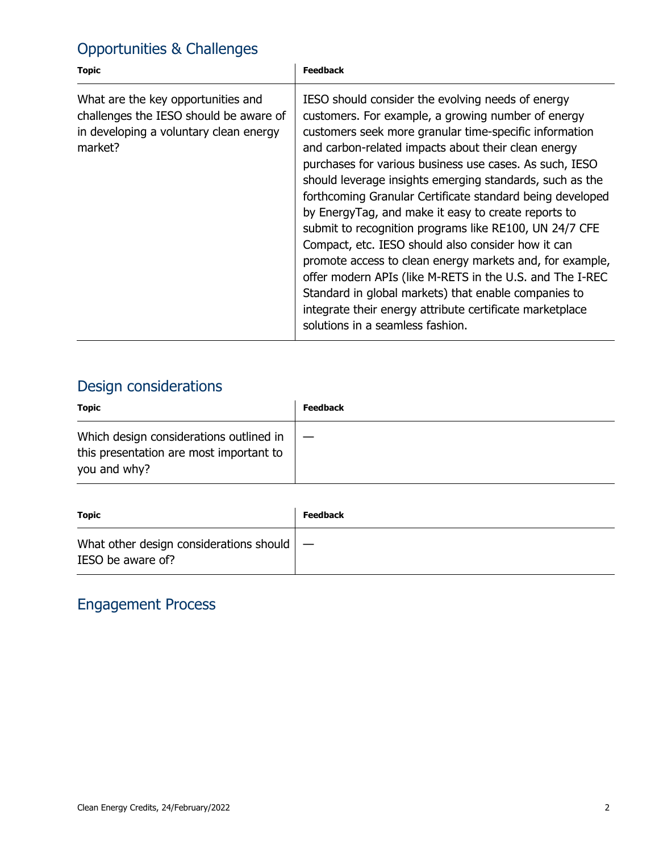## Opportunities & Challenges

| <b>Topic</b>                                                                                                                      | <b>Feedback</b>                                                                                                                                                                                                                                                                                                                                                                                                                                                                                                                                                                                                                                                                                                                                                                                                                                                     |
|-----------------------------------------------------------------------------------------------------------------------------------|---------------------------------------------------------------------------------------------------------------------------------------------------------------------------------------------------------------------------------------------------------------------------------------------------------------------------------------------------------------------------------------------------------------------------------------------------------------------------------------------------------------------------------------------------------------------------------------------------------------------------------------------------------------------------------------------------------------------------------------------------------------------------------------------------------------------------------------------------------------------|
| What are the key opportunities and<br>challenges the IESO should be aware of<br>in developing a voluntary clean energy<br>market? | IESO should consider the evolving needs of energy<br>customers. For example, a growing number of energy<br>customers seek more granular time-specific information<br>and carbon-related impacts about their clean energy<br>purchases for various business use cases. As such, IESO<br>should leverage insights emerging standards, such as the<br>forthcoming Granular Certificate standard being developed<br>by EnergyTag, and make it easy to create reports to<br>submit to recognition programs like RE100, UN 24/7 CFE<br>Compact, etc. IESO should also consider how it can<br>promote access to clean energy markets and, for example,<br>offer modern APIs (like M-RETS in the U.S. and The I-REC<br>Standard in global markets) that enable companies to<br>integrate their energy attribute certificate marketplace<br>solutions in a seamless fashion. |

## Design considerations

| <b>Topic</b>                                                                                       | <b>Feedback</b> |
|----------------------------------------------------------------------------------------------------|-----------------|
| Which design considerations outlined in<br>this presentation are most important to<br>you and why? |                 |

| <b>Topic</b>                                                                 | <b>Feedback</b> |
|------------------------------------------------------------------------------|-----------------|
| What other design considerations should $\vert - \vert$<br>IESO be aware of? |                 |

#### Engagement Process